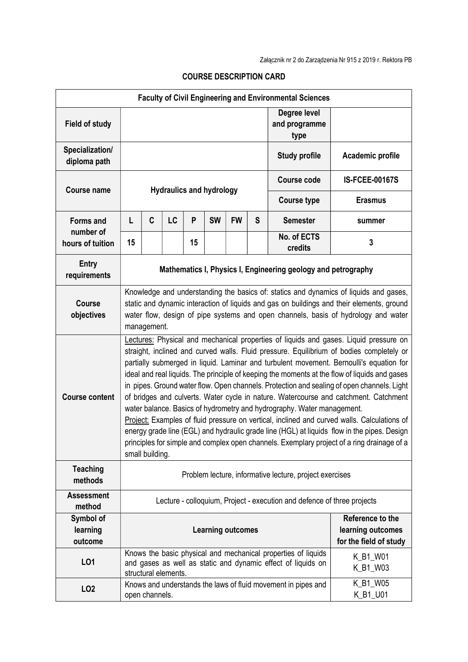| <b>Faculty of Civil Engineering and Environmental Sciences</b> |                                                                                                                                                                                                                                                                                                                                                                                                                                                                                                                                                                                                                                                                                                                                                                                                                                                                                                                                                              |                |    |    |           |           |   |                                                               |                       |
|----------------------------------------------------------------|--------------------------------------------------------------------------------------------------------------------------------------------------------------------------------------------------------------------------------------------------------------------------------------------------------------------------------------------------------------------------------------------------------------------------------------------------------------------------------------------------------------------------------------------------------------------------------------------------------------------------------------------------------------------------------------------------------------------------------------------------------------------------------------------------------------------------------------------------------------------------------------------------------------------------------------------------------------|----------------|----|----|-----------|-----------|---|---------------------------------------------------------------|-----------------------|
| <b>Field of study</b>                                          |                                                                                                                                                                                                                                                                                                                                                                                                                                                                                                                                                                                                                                                                                                                                                                                                                                                                                                                                                              |                |    |    |           |           |   | Degree level<br>and programme<br>type                         |                       |
| Specialization/<br>diploma path                                |                                                                                                                                                                                                                                                                                                                                                                                                                                                                                                                                                                                                                                                                                                                                                                                                                                                                                                                                                              |                |    |    |           |           |   | <b>Study profile</b>                                          | Academic profile      |
| <b>Course name</b>                                             | <b>Hydraulics and hydrology</b>                                                                                                                                                                                                                                                                                                                                                                                                                                                                                                                                                                                                                                                                                                                                                                                                                                                                                                                              |                |    |    |           |           |   | <b>Course code</b>                                            | <b>IS-FCEE-00167S</b> |
|                                                                |                                                                                                                                                                                                                                                                                                                                                                                                                                                                                                                                                                                                                                                                                                                                                                                                                                                                                                                                                              |                |    |    |           |           |   | <b>Course type</b>                                            | <b>Erasmus</b>        |
| <b>Forms and</b>                                               | L                                                                                                                                                                                                                                                                                                                                                                                                                                                                                                                                                                                                                                                                                                                                                                                                                                                                                                                                                            | C              | LC | P  | <b>SW</b> | <b>FW</b> | S | <b>Semester</b>                                               | summer                |
| number of<br>hours of tuition                                  | 15                                                                                                                                                                                                                                                                                                                                                                                                                                                                                                                                                                                                                                                                                                                                                                                                                                                                                                                                                           |                |    | 15 |           |           |   | No. of ECTS<br>credits                                        | 3                     |
| <b>Entry</b><br>requirements                                   | Mathematics I, Physics I, Engineering geology and petrography                                                                                                                                                                                                                                                                                                                                                                                                                                                                                                                                                                                                                                                                                                                                                                                                                                                                                                |                |    |    |           |           |   |                                                               |                       |
| <b>Course</b><br>objectives                                    | Knowledge and understanding the basics of: statics and dynamics of liquids and gases,<br>static and dynamic interaction of liquids and gas on buildings and their elements, ground<br>water flow, design of pipe systems and open channels, basis of hydrology and water<br>management.                                                                                                                                                                                                                                                                                                                                                                                                                                                                                                                                                                                                                                                                      |                |    |    |           |           |   |                                                               |                       |
| <b>Course content</b>                                          | Lectures: Physical and mechanical properties of liquids and gases. Liquid pressure on<br>straight, inclined and curved walls. Fluid pressure. Equilibrium of bodies completely or<br>partially submerged in liquid. Laminar and turbulent movement. Bernoulli's equation for<br>ideal and real liquids. The principle of keeping the moments at the flow of liquids and gases<br>in pipes. Ground water flow. Open channels. Protection and sealing of open channels. Light<br>of bridges and culverts. Water cycle in nature. Watercourse and catchment. Catchment<br>water balance. Basics of hydrometry and hydrography. Water management.<br>Project: Examples of fluid pressure on vertical, inclined and curved walls. Calculations of<br>energy grade line (EGL) and hydraulic grade line (HGL) at liquids flow in the pipes. Design<br>principles for simple and complex open channels. Exemplary project of a ring drainage of a<br>small building. |                |    |    |           |           |   |                                                               |                       |
| <b>Teaching</b><br>methods                                     | Problem lecture, informative lecture, project exercises                                                                                                                                                                                                                                                                                                                                                                                                                                                                                                                                                                                                                                                                                                                                                                                                                                                                                                      |                |    |    |           |           |   |                                                               |                       |
| <b>Assessment</b><br>method                                    | Lecture - colloquium, Project - execution and defence of three projects                                                                                                                                                                                                                                                                                                                                                                                                                                                                                                                                                                                                                                                                                                                                                                                                                                                                                      |                |    |    |           |           |   |                                                               |                       |
| Symbol of<br>learning<br>outcome                               | Reference to the<br><b>Learning outcomes</b><br>learning outcomes<br>for the field of study                                                                                                                                                                                                                                                                                                                                                                                                                                                                                                                                                                                                                                                                                                                                                                                                                                                                  |                |    |    |           |           |   |                                                               |                       |
| LO1                                                            | Knows the basic physical and mechanical properties of liquids<br>K_B1_W01<br>and gases as well as static and dynamic effect of liquids on<br>K_B1_W03<br>structural elements.                                                                                                                                                                                                                                                                                                                                                                                                                                                                                                                                                                                                                                                                                                                                                                                |                |    |    |           |           |   |                                                               |                       |
| LO <sub>2</sub>                                                |                                                                                                                                                                                                                                                                                                                                                                                                                                                                                                                                                                                                                                                                                                                                                                                                                                                                                                                                                              | open channels. |    |    |           |           |   | Knows and understands the laws of fluid movement in pipes and | K_B1_W05<br>K_B1_U01  |

## COURSE DESCRIPTION CARD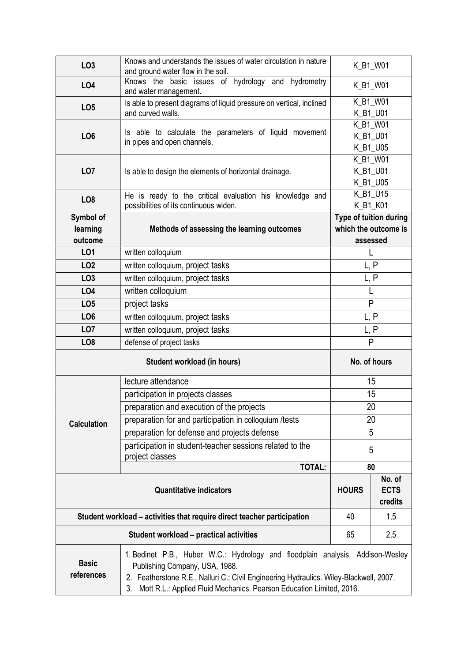| LO <sub>3</sub>                                                                                                                                                                                                                                                                                                        | Knows and understands the issues of water circulation in nature<br>and ground water flow in the soil. | K_B1_W01                      |     |  |  |
|------------------------------------------------------------------------------------------------------------------------------------------------------------------------------------------------------------------------------------------------------------------------------------------------------------------------|-------------------------------------------------------------------------------------------------------|-------------------------------|-----|--|--|
| LO4                                                                                                                                                                                                                                                                                                                    | Knows the basic issues of hydrology and hydrometry<br>and water management.                           | K_B1_W01                      |     |  |  |
| LO <sub>5</sub>                                                                                                                                                                                                                                                                                                        | Is able to present diagrams of liquid pressure on vertical, inclined                                  | K_B1_W01                      |     |  |  |
|                                                                                                                                                                                                                                                                                                                        | and curved walls.                                                                                     | K_B1_U01                      |     |  |  |
|                                                                                                                                                                                                                                                                                                                        | Is able to calculate the parameters of liquid movement                                                | K_B1_W01<br>K B1 U01          |     |  |  |
| LO <sub>6</sub>                                                                                                                                                                                                                                                                                                        | in pipes and open channels.                                                                           |                               |     |  |  |
|                                                                                                                                                                                                                                                                                                                        |                                                                                                       | K_B1_U05<br>K_B1_W01          |     |  |  |
| LO <sub>7</sub>                                                                                                                                                                                                                                                                                                        | Is able to design the elements of horizontal drainage.                                                | K_B1_U01                      |     |  |  |
|                                                                                                                                                                                                                                                                                                                        |                                                                                                       | K_B1_U05                      |     |  |  |
|                                                                                                                                                                                                                                                                                                                        | He is ready to the critical evaluation his knowledge and                                              | K_B1_U15                      |     |  |  |
| LO <sub>8</sub>                                                                                                                                                                                                                                                                                                        | possibilities of its continuous widen.                                                                | K_B1_K01                      |     |  |  |
| Symbol of                                                                                                                                                                                                                                                                                                              |                                                                                                       | Type of tuition during        |     |  |  |
| learning                                                                                                                                                                                                                                                                                                               | Methods of assessing the learning outcomes                                                            | which the outcome is          |     |  |  |
| outcome                                                                                                                                                                                                                                                                                                                |                                                                                                       | assessed                      |     |  |  |
| L01                                                                                                                                                                                                                                                                                                                    | written colloquium                                                                                    | L                             |     |  |  |
| LO <sub>2</sub>                                                                                                                                                                                                                                                                                                        | written colloquium, project tasks                                                                     | L, P                          |     |  |  |
| LO <sub>3</sub>                                                                                                                                                                                                                                                                                                        | written colloquium, project tasks                                                                     | L, P                          |     |  |  |
| LO4                                                                                                                                                                                                                                                                                                                    | written colloquium                                                                                    | L                             |     |  |  |
| LO <sub>5</sub>                                                                                                                                                                                                                                                                                                        | project tasks                                                                                         | P                             |     |  |  |
| LO <sub>6</sub>                                                                                                                                                                                                                                                                                                        | written colloquium, project tasks                                                                     | L, P                          |     |  |  |
| LO <sub>7</sub>                                                                                                                                                                                                                                                                                                        | written colloquium, project tasks                                                                     | L, P                          |     |  |  |
| LO <sub>8</sub>                                                                                                                                                                                                                                                                                                        |                                                                                                       | P<br>defense of project tasks |     |  |  |
|                                                                                                                                                                                                                                                                                                                        | No. of hours                                                                                          |                               |     |  |  |
|                                                                                                                                                                                                                                                                                                                        | lecture attendance                                                                                    | 15                            |     |  |  |
|                                                                                                                                                                                                                                                                                                                        | participation in projects classes                                                                     | 15                            |     |  |  |
|                                                                                                                                                                                                                                                                                                                        | preparation and execution of the projects                                                             | 20                            |     |  |  |
| <b>Calculation</b>                                                                                                                                                                                                                                                                                                     | preparation for and participation in colloquium /tests                                                | 20                            |     |  |  |
|                                                                                                                                                                                                                                                                                                                        | preparation for defense and projects defense                                                          | 5                             |     |  |  |
|                                                                                                                                                                                                                                                                                                                        | participation in student-teacher sessions related to the<br>project classes                           | 5                             |     |  |  |
|                                                                                                                                                                                                                                                                                                                        | <b>TOTAL:</b>                                                                                         | 80                            |     |  |  |
|                                                                                                                                                                                                                                                                                                                        | <b>HOURS</b>                                                                                          | No. of<br><b>ECTS</b>         |     |  |  |
|                                                                                                                                                                                                                                                                                                                        |                                                                                                       | credits                       |     |  |  |
| Student workload – activities that require direct teacher participation                                                                                                                                                                                                                                                |                                                                                                       |                               | 1,5 |  |  |
|                                                                                                                                                                                                                                                                                                                        | 65                                                                                                    | 2,5                           |     |  |  |
| 1. Bedinet P.B., Huber W.C.: Hydrology and floodplain analysis. Addison-Wesley<br><b>Basic</b><br>Publishing Company, USA, 1988.<br>references<br>2. Featherstone R.E., Nalluri C.: Civil Engineering Hydraulics. Wiley-Blackwell, 2007.<br>Mott R.L.: Applied Fluid Mechanics. Pearson Education Limited, 2016.<br>3. |                                                                                                       |                               |     |  |  |